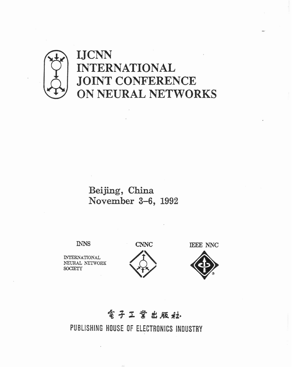

# **INTERNATIONAL JOINT CONFERENCE ON NEURAL NETWORKS**

## **Bei jing** , **China November 3-6, 1992**

**INTERNATIONAL h'EURAL NETWORK SOCIETY** 





## **電子工業出販社**

PUBLISHING HOUSE OF ELECTRONICS **INDUSTRY**